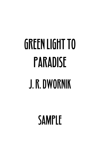## GREEN LIGHT TO PARADISE J. R. DWORNIK

SAMPLE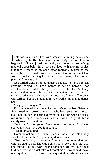It started in a club filled with smoke, thumping music and It started in a club filled with smoke, thumping music and flashing lights. Kali had never been overly fond of clubs to begin with. She enjoyed the music, and there was something magical about being in a room so filled with moving bodies that they pressed in on each other regularly in time to the music, but she would always have some kind of accident that would ruin the evening for her and often many of the other patrons. She was a jinx.

She turned away from the dancing people, her long ponytail swaying behind her head before it settled between her shoulder blades while she glanced up at the TV. A flashy music video was playing with scantily-dressed dancers showing off more body than any vocal proficiency. The song was terrible, but to the delight of the crowd it had a good dance beat.

"Hey, great song, eh?"

Kali registered that the voice was talking to her distantly. She turned and looked at the man who had settled into the bar stool next to her, unsurprised by his tousled brown hair or his red-rimmed eyes. The drink in his hand was nearly full, but it clearly wasn't his first one.

"Not bad," she yelled back over the noise. "I prefer something with more depth of sound."

"Yeah, great sound!"

Communication in such places was understandably sacrificed for the thrill of pounding dance beats.

"We should hang out together." At least she hoped that was what he said to her. She was trying not to look at the idiot and she missed the key word of the sentence. He may have just told her 'we should get take-out together' or 'we should make out together.' He may have even suggested 'we should suicide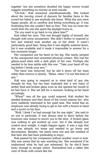together' but she somehow doubted the happy moron would suggest something as morose as joint suicide.

"Uh-huh," Kali answered unenthusiastically. She looked about the moving crowd of dancers for familiar faces in the crowd but failed to see anybody she knew. What she saw were happy people, all so carefree and letting everything go. It was frustrating that she couldn't feel so free. This was no more her world than the one she spent the daylight hours in.

"Do you want to go back to my place later?"

Kali rolled her eyes. This one thought highly of himself, she thought with some amusement. She didn't bother to respond to him and instead took another sip of her drink. It wasn't particularly good beer, being that it was slightly watered down, but it was available and it made it impossible to answer for a few moments longer.

Her companion put his hand on her leg. She nearly jumped at the unexpected and unwanted physical contact. She met his glassy-eyed stare with a dark glare of her own. Perhaps she needed to be less subtle with this one. "Take your hand off my leg before I break your arm."

The hand was removed, but he slid it down off her knee rather than remove it cleanly. "Relax, relax! I'm not that kind of guy."

Kali was going to respond as to what kind of guy she thought he was, but her beer exploded into a wet mass of amber fluid and broken glass even as she opened her mouth to let him have it. She sat still for a moment, looking at her hand accusingly.

"Whoa!" was all the guy could respond. Kali studied his startled features and then those of the crowd nearest her, who were suddenly interested in her quiet seat. She noted that an employee was already trying to get to her with a broom in hand and a scowl on his face.

"Well, I think I've had enough fun for one night," she said to no one in particular. It was always best to leave before the bouncers saw reason to escort you to the door. A broken glass was nothing to get worked up over, but if she already lost control once tonight, it might happen again. It was a sign that she was already too tense and needed to go home and decompress. Besides, her pants were wet and she smelled of that beer she had been pretending to enjoy.

Kali passed by her companion without another word or look. She was aware that he was watching her. She wondered if he understood what he had just witnessed. So far she'd been lucky enough to escape notice. Humankind had a rather dim view of those with curses like her.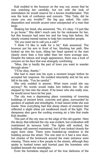Kali nodded to the bouncer on the way out, aware that he was watching her carefully, but not with the look of intimidation he would reserve for a known troublemaker. This was the look of confusion and concern. "Hey Tails, did he cause you any trouble?" the big guy asked. His calm disposition and smooth accent were unexpected of a man that large.

Shaking her head, she answered, "No, it's okay. I'd just like to go home." She didn't much care for his nickname for her, but this bouncer had seen her and her long hair before. He clearly created mental names to help him remember people.

"Do you want me to call you a cab?"

"I think I'd like to walk for a bit," Kali answered. The bouncer put his arm in front of her, blocking her path. She looked up into his eyes, tilting her head upward to the man clearly more than a foot taller than her more average size. Despite the tattoos and tough appearance, there was a look of concern on his face that was strangely comforting.

"Miss, this is hardly the part of town you want to wander through alone."

"I'll be okay, thanks."

She had to stare into his eyes a moment longer before he accepted her response. He nodded reluctantly and let his arm fall to his side. "You be careful."

She only nodded in answer. What more could she say anyway? No words would make him believe her. So she stepped by him into the street. If he knew who she really was, he would never have let her past.

The city was a depressing place consisting of towering buildings of ancient brick, concrete and glass, surrounded by gardens of asphalt and streetlights. It had rained while she was inside. Now everything had that damp sheen of moisture that reflected a slight shine yet swallowed much of the light. The dampness also gave the cooling evening air a bite that made Kali shudder.

This part of the city was on the edge of the old quarter. Here the decay that infected the city was evident, but civilization still maintained its tenuous hold. The lights still worked, the buildings still seemed maintained, but if one looked closely the signs were clear. There were boarded-up windows in the building across the street. The one next to it had a new door, but chunks of the brickwork around the main entrance were missing. There were a few people in the streets, although they spoke in hushed tones and hurried past the homeless who huddled beneath the streetlights.

Even the homeless stayed out of the true darkness of the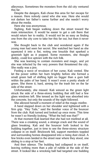alleyways. Sometimes the monsters from the old city ventured this far.

Despite the dangers, Kali chose this area for her escape for a reason. Here nobody cared who she was. Here she would not darken her father's name further and she needn't worry about the media.

Here she was anonymous.

Sighing, Kali began walking down the street toward the main intersection. It would be easier to get a cab there that would return her to reality. It would not be as easy as finding one from the city core to take her this far out, but then it never was.

She thought back to the club and wondered again if the young man had seen her secret. She watched her hand as she squeezed it into a fist, noting one knuckle that sparked a greenish light as it popped. Some monsters, she thought darkly, could live uptown with the rich folk.

She was learning to contain monsters and magic, and yet she was infected by the very powers that threatened the city. She really was a jinx.

Feeling a wave of revulsion of her curse, Kali vented. She let the power within her burn brightly before she formed a small green ball of shifting light no bigger than a gum ball within the palm of her hand. It wasn't even a pretty shade of green. She threw it, hard, aiming for the trash bin on the far side of the street.

Unfortunately, she missed. Kali winced as the green light struck the side of a three-storey building that still had a few glass windows left. She tensed as the light was absorbed into the concrete, but only the sounds of the night followed.

She allowed herself a moment of relief at the magic misfire.

A hand slapped down on her shoulder and tightened with a firm grip. "Hey Tails," said the familiar voice of the bouncer from the club. Kali turned and looked up once more. This time he wasn't so friendly-looking. "What the hell was that?"

At that moment Kali learned that she had not misfired at all. There was a creaking sound, a strange crack and the sound of glass breaking. Kali and the bouncer both looked to the building together, just in time to see the three-storey structure collapse in on itself. Brickwork fell, support members toppled and surrounding homes disappeared into a rising dust cloud. A few bricks even landed in the street near where they stood, one sliding to a stop at her feet.

And then silence. The building had collapsed in on itself, leaving nothing more than a pile of rubble at the side of the street. It looked like a wrecking ball had targeted one building